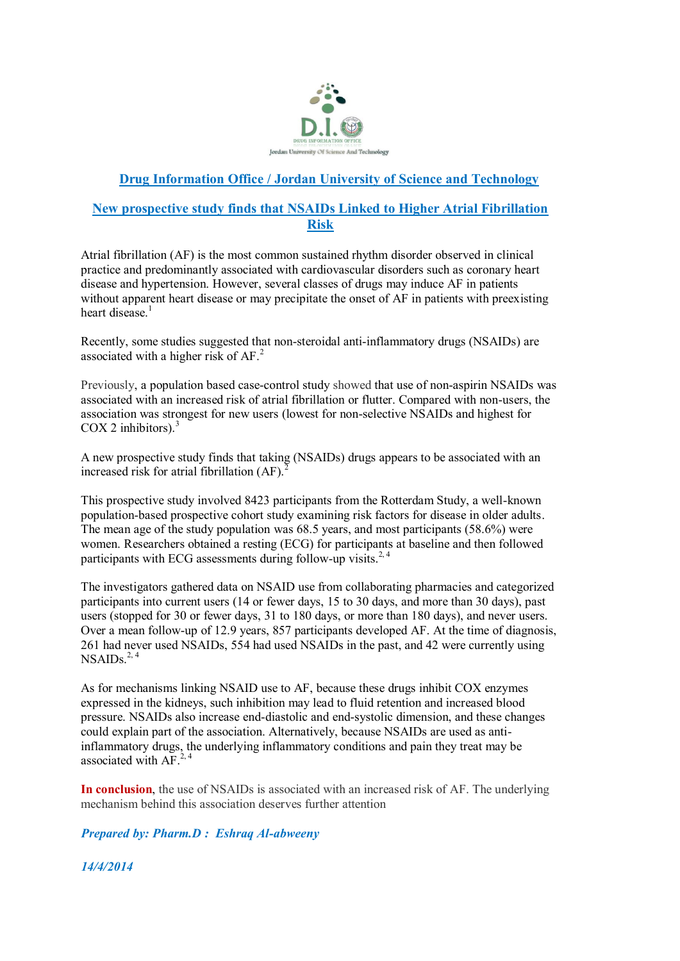

## **Drug Information Office / Jordan University of Science and Technology**

## **New prospective study finds that NSAIDs Linked to Higher Atrial Fibrillation Risk**

Atrial fibrillation (AF) is the most common sustained rhythm disorder observed in clinical practice and predominantly associated with cardiovascular disorders such as coronary heart disease and hypertension. However, several classes of drugs may induce AF in patients without apparent heart disease or may precipitate the onset of AF in patients with preexisting heart disease $<sup>1</sup>$ </sup>

Recently, some studies suggested that non-steroidal anti-inflammatory drugs (NSAIDs) are associated with a higher risk of AF.<sup>2</sup>

Previously, a population based case-control study showed that use of non-aspirin NSAIDs was associated with an increased risk of atrial fibrillation or flutter. Compared with non-users, the association was strongest for new users (lowest for non-selective NSAIDs and highest for COX 2 inhibitors). $3$ 

A new prospective study finds that taking (NSAIDs) drugs appears to be associated with an increased risk for atrial fibrillation  $(AF)$ .

This prospective study involved 8423 participants from the Rotterdam Study, a well-known population-based prospective cohort study examining risk factors for disease in older adults. The mean age of the study population was 68.5 years, and most participants (58.6%) were women. Researchers obtained a resting (ECG) for participants at baseline and then followed participants with ECG assessments during follow-up visits.<sup>2,4</sup>

The investigators gathered data on NSAID use from collaborating pharmacies and categorized participants into current users (14 or fewer days, 15 to 30 days, and more than 30 days), past users (stopped for 30 or fewer days, 31 to 180 days, or more than 180 days), and never users. Over a mean follow-up of 12.9 years, 857 participants developed AF. At the time of diagnosis, 261 had never used NSAIDs, 554 had used NSAIDs in the past, and 42 were currently using  $NSAIDs<sup>2, 4</sup>$ 

As for mechanisms linking NSAID use to AF, because these drugs inhibit COX enzymes expressed in the kidneys, such inhibition may lead to fluid retention and increased blood pressure. NSAIDs also increase end-diastolic and end-systolic dimension, and these changes could explain part of the association. Alternatively, because NSAIDs are used as antiinflammatory drugs, the underlying inflammatory conditions and pain they treat may be associated with AF. $^{2,4}$ 

**In conclusion**, the use of NSAIDs is associated with an increased risk of AF. The underlying mechanism behind this association deserves further attention

*Prepared by: Pharm.D : Eshraq Al-abweeny*

*14/4/2014*